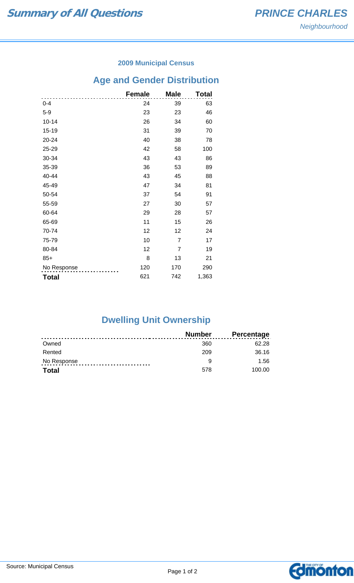### **2009 Municipal Census**

# **Age and Gender Distribution**

|              | <b>Female</b> | <b>Male</b> | <b>Total</b> |
|--------------|---------------|-------------|--------------|
| $0 - 4$      | 24            | 39          | 63           |
| $5-9$        | 23            | 23          | 46           |
| $10 - 14$    | 26            | 34          | 60           |
| $15 - 19$    | 31            | 39          | 70           |
| 20-24        | 40            | 38          | 78           |
| 25-29        | 42            | 58          | 100          |
| 30-34        | 43            | 43          | 86           |
| 35-39        | 36            | 53          | 89           |
| 40-44        | 43            | 45          | 88           |
| 45-49        | 47            | 34          | 81           |
| 50-54        | 37            | 54          | 91           |
| 55-59        | 27            | 30          | 57           |
| 60-64        | 29            | 28          | 57           |
| 65-69        | 11            | 15          | 26           |
| 70-74        | 12            | 12          | 24           |
| 75-79        | 10            | 7           | 17           |
| 80-84        | 12            | 7           | 19           |
| $85+$        | 8             | 13          | 21           |
| No Response  | 120           | 170         | 290          |
| <b>Total</b> | 621           | 742         | 1,363        |

# **Dwelling Unit Ownership**

|              | <b>Number</b> | <b>Percentage</b> |
|--------------|---------------|-------------------|
| Owned        | 360           | 62.28             |
| Rented       | 209           | 36.16             |
| No Response  | a             | 1.56              |
| <b>Total</b> | 578           | 100.00            |